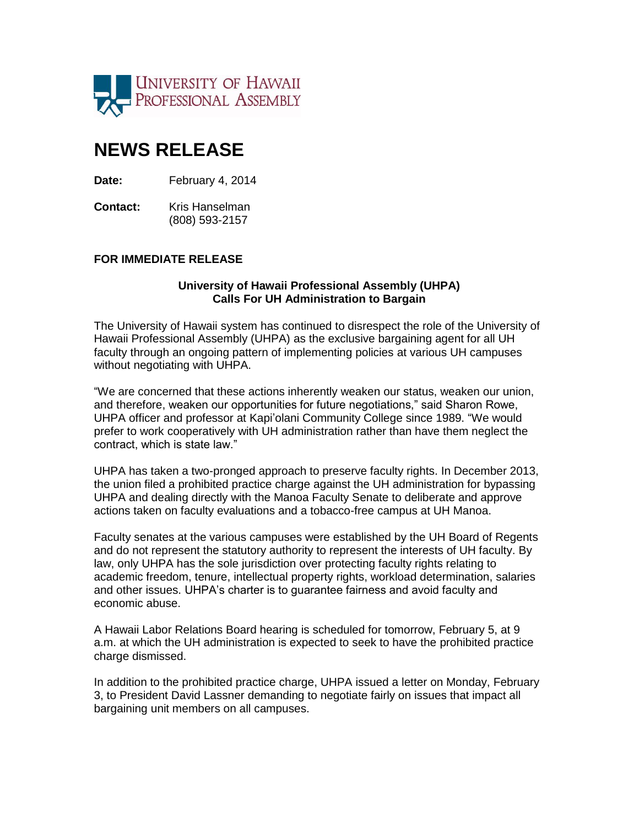

## **NEWS RELEASE**

**Date:** February 4, 2014

**Contact:** Kris Hanselman (808) 593-2157

## **FOR IMMEDIATE RELEASE**

## **University of Hawaii Professional Assembly (UHPA) Calls For UH Administration to Bargain**

The University of Hawaii system has continued to disrespect the role of the University of Hawaii Professional Assembly (UHPA) as the exclusive bargaining agent for all UH faculty through an ongoing pattern of implementing policies at various UH campuses without negotiating with UHPA.

"We are concerned that these actions inherently weaken our status, weaken our union, and therefore, weaken our opportunities for future negotiations," said Sharon Rowe, UHPA officer and professor at Kapi'olani Community College since 1989. "We would prefer to work cooperatively with UH administration rather than have them neglect the contract, which is state law."

UHPA has taken a two-pronged approach to preserve faculty rights. In December 2013, the union filed a prohibited practice charge against the UH administration for bypassing UHPA and dealing directly with the Manoa Faculty Senate to deliberate and approve actions taken on faculty evaluations and a tobacco-free campus at UH Manoa.

Faculty senates at the various campuses were established by the UH Board of Regents and do not represent the statutory authority to represent the interests of UH faculty. By law, only UHPA has the sole jurisdiction over protecting faculty rights relating to academic freedom, tenure, intellectual property rights, workload determination, salaries and other issues. UHPA's charter is to guarantee fairness and avoid faculty and economic abuse.

A Hawaii Labor Relations Board hearing is scheduled for tomorrow, February 5, at 9 a.m. at which the UH administration is expected to seek to have the prohibited practice charge dismissed.

In addition to the prohibited practice charge, UHPA issued a letter on Monday, February 3, to President David Lassner demanding to negotiate fairly on issues that impact all bargaining unit members on all campuses.